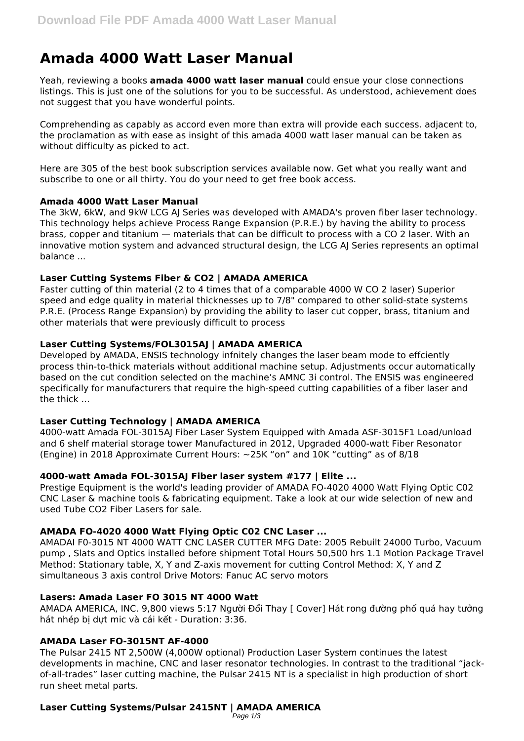# **Amada 4000 Watt Laser Manual**

Yeah, reviewing a books **amada 4000 watt laser manual** could ensue your close connections listings. This is just one of the solutions for you to be successful. As understood, achievement does not suggest that you have wonderful points.

Comprehending as capably as accord even more than extra will provide each success. adjacent to, the proclamation as with ease as insight of this amada 4000 watt laser manual can be taken as without difficulty as picked to act.

Here are 305 of the best book subscription services available now. Get what you really want and subscribe to one or all thirty. You do your need to get free book access.

# **Amada 4000 Watt Laser Manual**

The 3kW, 6kW, and 9kW LCG AJ Series was developed with AMADA's proven fiber laser technology. This technology helps achieve Process Range Expansion (P.R.E.) by having the ability to process brass, copper and titanium — materials that can be difficult to process with a CO 2 laser. With an innovative motion system and advanced structural design, the LCG AJ Series represents an optimal balance ...

# **Laser Cutting Systems Fiber & CO2 | AMADA AMERICA**

Faster cutting of thin material (2 to 4 times that of a comparable 4000 W CO 2 laser) Superior speed and edge quality in material thicknesses up to 7/8" compared to other solid-state systems P.R.E. (Process Range Expansion) by providing the ability to laser cut copper, brass, titanium and other materials that were previously difficult to process

# **Laser Cutting Systems/FOL3015AJ | AMADA AMERICA**

Developed by AMADA, ENSIS technology infnitely changes the laser beam mode to effciently process thin-to-thick materials without additional machine setup. Adjustments occur automatically based on the cut condition selected on the machine's AMNC 3i control. The ENSIS was engineered specifically for manufacturers that require the high-speed cutting capabilities of a fiber laser and the thick ...

# **Laser Cutting Technology | AMADA AMERICA**

4000-watt Amada FOL-3015AJ Fiber Laser System Equipped with Amada ASF-3015F1 Load/unload and 6 shelf material storage tower Manufactured in 2012, Upgraded 4000-watt Fiber Resonator (Engine) in 2018 Approximate Current Hours: ~25K "on" and 10K "cutting" as of 8/18

#### **4000-watt Amada FOL-3015AJ Fiber laser system #177 | Elite ...**

Prestige Equipment is the world's leading provider of AMADA FO-4020 4000 Watt Flying Optic C02 CNC Laser & machine tools & fabricating equipment. Take a look at our wide selection of new and used Tube CO2 Fiber Lasers for sale.

# **AMADA FO-4020 4000 Watt Flying Optic C02 CNC Laser ...**

AMADAI F0-3015 NT 4000 WATT CNC LASER CUTTER MFG Date: 2005 Rebuilt 24000 Turbo, Vacuum pump , Slats and Optics installed before shipment Total Hours 50,500 hrs 1.1 Motion Package Travel Method: Stationary table, X, Y and Z-axis movement for cutting Control Method: X, Y and Z simultaneous 3 axis control Drive Motors: Fanuc AC servo motors

#### **Lasers: Amada Laser FO 3015 NT 4000 Watt**

AMADA AMERICA, INC. 9,800 views 5:17 Người Đổi Thay [ Cover] Hát rong đường phố quá hay tưởng hát nhép bị dựt mic và cái kết - Duration: 3:36.

# **AMADA Laser FO-3015NT AF-4000**

The Pulsar 2415 NT 2,500W (4,000W optional) Production Laser System continues the latest developments in machine, CNC and laser resonator technologies. In contrast to the traditional "jackof-all-trades" laser cutting machine, the Pulsar 2415 NT is a specialist in high production of short run sheet metal parts.

#### **Laser Cutting Systems/Pulsar 2415NT | AMADA AMERICA** Page 1/3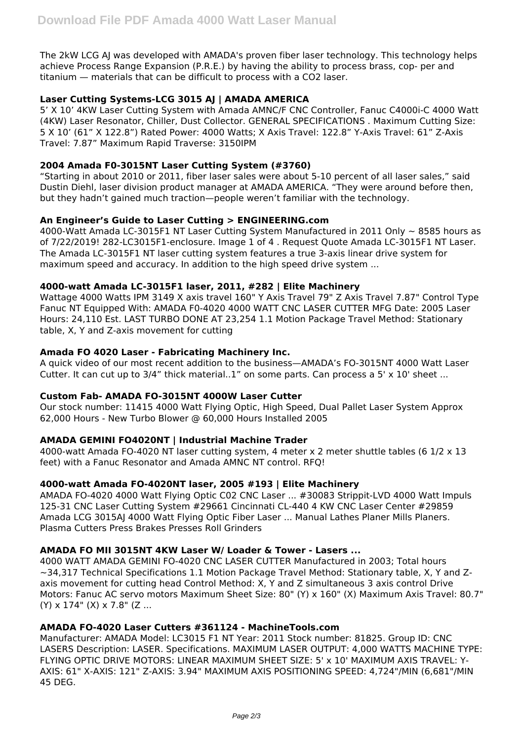The 2kW LCG AJ was developed with AMADA's proven fiber laser technology. This technology helps achieve Process Range Expansion (P.R.E.) by having the ability to process brass, cop- per and titanium — materials that can be difficult to process with a CO2 laser.

# **Laser Cutting Systems-LCG 3015 AJ | AMADA AMERICA**

5' X 10' 4KW Laser Cutting System with Amada AMNC/F CNC Controller, Fanuc C4000i-C 4000 Watt (4KW) Laser Resonator, Chiller, Dust Collector. GENERAL SPECIFICATIONS . Maximum Cutting Size: 5 X 10' (61" X 122.8") Rated Power: 4000 Watts; X Axis Travel: 122.8" Y-Axis Travel: 61" Z-Axis Travel: 7.87" Maximum Rapid Traverse: 3150IPM

# **2004 Amada F0-3015NT Laser Cutting System (#3760)**

"Starting in about 2010 or 2011, fiber laser sales were about 5-10 percent of all laser sales," said Dustin Diehl, laser division product manager at AMADA AMERICA. "They were around before then, but they hadn't gained much traction—people weren't familiar with the technology.

# **An Engineer's Guide to Laser Cutting > ENGINEERING.com**

4000-Watt Amada LC-3015F1 NT Laser Cutting System Manufactured in 2011 Only ~ 8585 hours as of 7/22/2019! 282-LC3015F1-enclosure. Image 1 of 4 . Request Quote Amada LC-3015F1 NT Laser. The Amada LC-3015F1 NT laser cutting system features a true 3-axis linear drive system for maximum speed and accuracy. In addition to the high speed drive system ...

# **4000-watt Amada LC-3015F1 laser, 2011, #282 | Elite Machinery**

Wattage 4000 Watts IPM 3149 X axis travel 160" Y Axis Travel 79" Z Axis Travel 7.87" Control Type Fanuc NT Equipped With: AMADA F0-4020 4000 WATT CNC LASER CUTTER MFG Date: 2005 Laser Hours: 24,110 Est. LAST TURBO DONE AT 23,254 1.1 Motion Package Travel Method: Stationary table, X, Y and Z-axis movement for cutting

# **Amada FO 4020 Laser - Fabricating Machinery Inc.**

A quick video of our most recent addition to the business—AMADA's FO-3015NT 4000 Watt Laser Cutter. It can cut up to 3/4" thick material..1" on some parts. Can process a 5' x 10' sheet ...

#### **Custom Fab- AMADA FO-3015NT 4000W Laser Cutter**

Our stock number: 11415 4000 Watt Flying Optic, High Speed, Dual Pallet Laser System Approx 62,000 Hours - New Turbo Blower @ 60,000 Hours Installed 2005

# **AMADA GEMINI FO4020NT | Industrial Machine Trader**

4000-watt Amada FO-4020 NT laser cutting system, 4 meter x 2 meter shuttle tables (6 1/2 x 13 feet) with a Fanuc Resonator and Amada AMNC NT control. RFQ!

#### **4000-watt Amada FO-4020NT laser, 2005 #193 | Elite Machinery**

AMADA FO-4020 4000 Watt Flying Optic C02 CNC Laser ... #30083 Strippit-LVD 4000 Watt Impuls 125-31 CNC Laser Cutting System #29661 Cincinnati CL-440 4 KW CNC Laser Center #29859 Amada LCG 3015AJ 4000 Watt Flying Optic Fiber Laser ... Manual Lathes Planer Mills Planers. Plasma Cutters Press Brakes Presses Roll Grinders

### **AMADA FO MII 3015NT 4KW Laser W/ Loader & Tower - Lasers ...**

4000 WATT AMADA GEMINI FO-4020 CNC LASER CUTTER Manufactured in 2003; Total hours ~34,317 Technical Specifications 1.1 Motion Package Travel Method: Stationary table, X, Y and Zaxis movement for cutting head Control Method: X, Y and Z simultaneous 3 axis control Drive Motors: Fanuc AC servo motors Maximum Sheet Size: 80" (Y) x 160" (X) Maximum Axis Travel: 80.7"  $(Y)$  x 174"  $(X)$  x 7.8"  $(Z$  ...

#### **AMADA FO-4020 Laser Cutters #361124 - MachineTools.com**

Manufacturer: AMADA Model: LC3015 F1 NT Year: 2011 Stock number: 81825. Group ID: CNC LASERS Description: LASER. Specifications. MAXIMUM LASER OUTPUT: 4,000 WATTS MACHINE TYPE: FLYING OPTIC DRIVE MOTORS: LINEAR MAXIMUM SHEET SIZE: 5' x 10' MAXIMUM AXIS TRAVEL: Y-AXIS: 61" X-AXIS: 121" Z-AXIS: 3.94" MAXIMUM AXIS POSITIONING SPEED: 4,724"/MIN (6,681"/MIN 45 DEG.